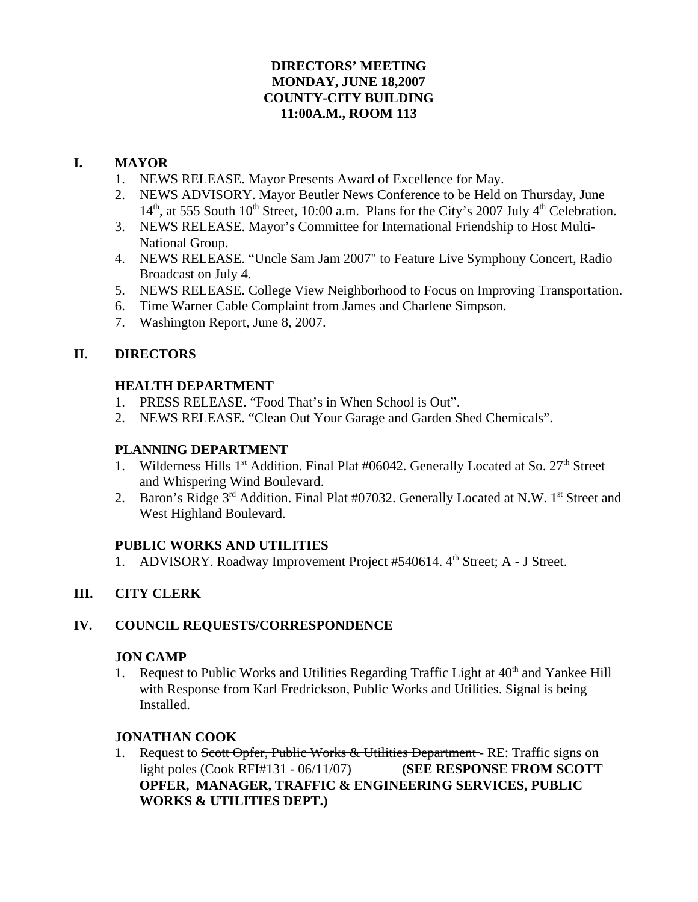## **DIRECTORS' MEETING MONDAY, JUNE 18,2007 COUNTY-CITY BUILDING 11:00A.M., ROOM 113**

## **I. MAYOR**

- 1. NEWS RELEASE. Mayor Presents Award of Excellence for May.
- 2. NEWS ADVISORY. Mayor Beutler News Conference to be Held on Thursday, June  $14<sup>th</sup>$ , at 555 South  $10<sup>th</sup>$  Street, 10:00 a.m. Plans for the City's 2007 July  $4<sup>th</sup>$  Celebration.
- 3. NEWS RELEASE. Mayor's Committee for International Friendship to Host Multi-National Group.
- 4. NEWS RELEASE. "Uncle Sam Jam 2007" to Feature Live Symphony Concert, Radio Broadcast on July 4.
- 5. NEWS RELEASE. College View Neighborhood to Focus on Improving Transportation.
- 6. Time Warner Cable Complaint from James and Charlene Simpson.
- 7. Washington Report, June 8, 2007.

# **II. DIRECTORS**

## **HEALTH DEPARTMENT**

- 1. PRESS RELEASE. "Food That's in When School is Out".
- 2. NEWS RELEASE. "Clean Out Your Garage and Garden Shed Chemicals".

## **PLANNING DEPARTMENT**

- 1. Wilderness Hills 1<sup>st</sup> Addition. Final Plat #06042. Generally Located at So. 27<sup>th</sup> Street and Whispering Wind Boulevard.
- 2. Baron's Ridge 3<sup>rd</sup> Addition. Final Plat #07032. Generally Located at N.W. 1<sup>st</sup> Street and West Highland Boulevard.

# **PUBLIC WORKS AND UTILITIES**

1. ADVISORY. Roadway Improvement Project #540614. 4<sup>th</sup> Street; A - J Street.

# **III. CITY CLERK**

# **IV. COUNCIL REQUESTS/CORRESPONDENCE**

### **JON CAMP**

Request to Public Works and Utilities Regarding Traffic Light at  $40<sup>th</sup>$  and Yankee Hill with Response from Karl Fredrickson, Public Works and Utilities. Signal is being Installed.

# **JONATHAN COOK**

1. Request to Scott Opfer, Public Works & Utilities Department - RE: Traffic signs on light poles (Cook RFI#131 - 06/11/07) **(SEE RESPONSE FROM SCOTT OPFER, MANAGER, TRAFFIC & ENGINEERING SERVICES, PUBLIC WORKS & UTILITIES DEPT.)**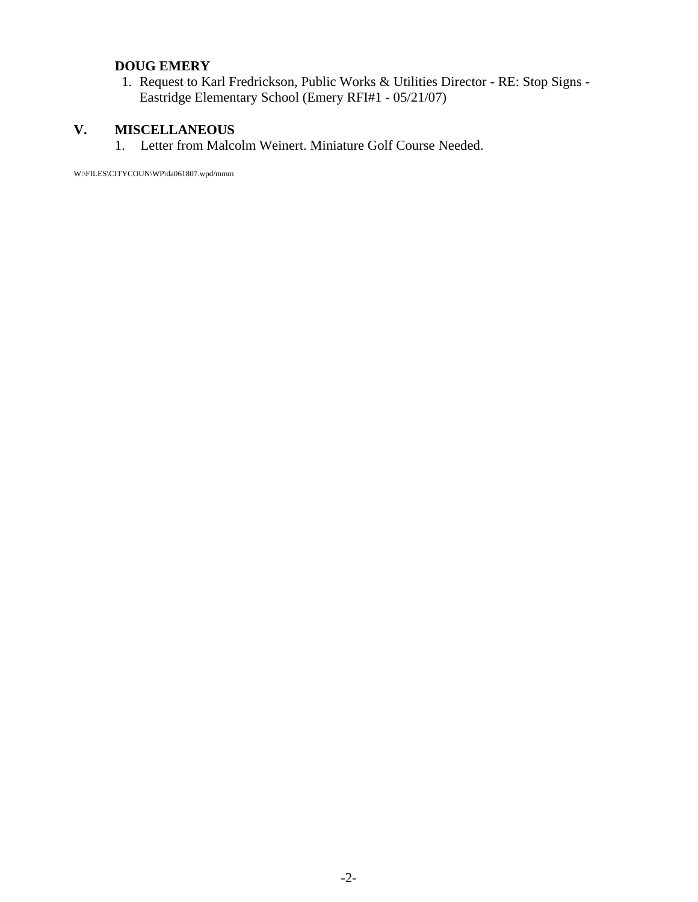# **DOUG EMERY**

 1. Request to Karl Fredrickson, Public Works & Utilities Director - RE: Stop Signs - Eastridge Elementary School (Emery RFI#1 - 05/21/07)

# **V. MISCELLANEOUS**

1. Letter from Malcolm Weinert. Miniature Golf Course Needed.

W:\FILES\CITYCOUN\WP\da061807.wpd/mmm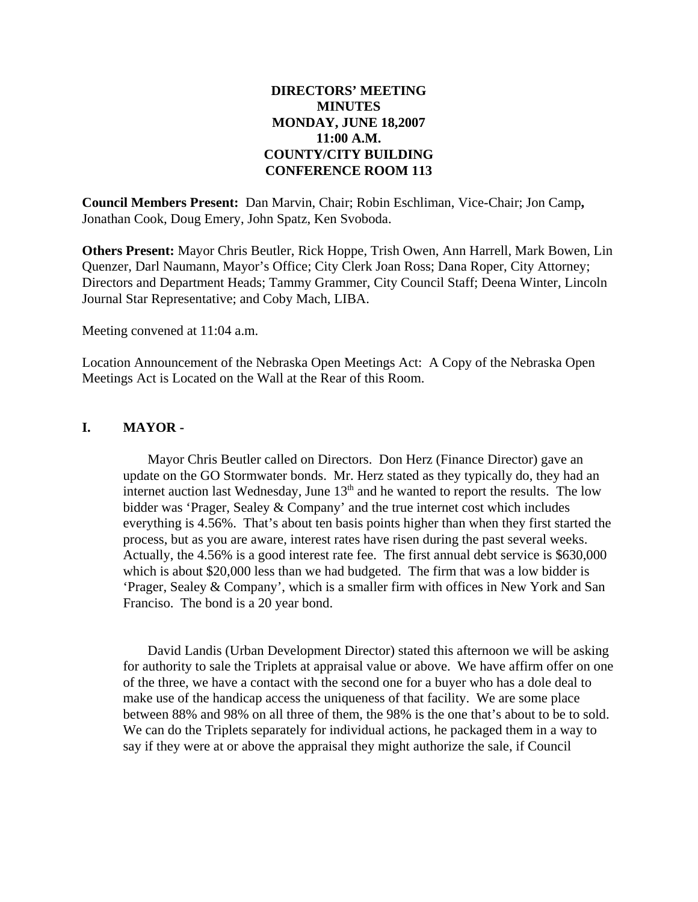### **DIRECTORS' MEETING MINUTES MONDAY, JUNE 18,2007 11:00 A.M. COUNTY/CITY BUILDING CONFERENCE ROOM 113**

**Council Members Present:** Dan Marvin, Chair; Robin Eschliman, Vice-Chair; Jon Camp**,** Jonathan Cook, Doug Emery, John Spatz, Ken Svoboda.

**Others Present:** Mayor Chris Beutler, Rick Hoppe, Trish Owen, Ann Harrell, Mark Bowen, Lin Quenzer, Darl Naumann, Mayor's Office; City Clerk Joan Ross; Dana Roper, City Attorney; Directors and Department Heads; Tammy Grammer, City Council Staff; Deena Winter, Lincoln Journal Star Representative; and Coby Mach, LIBA.

Meeting convened at 11:04 a.m.

Location Announcement of the Nebraska Open Meetings Act: A Copy of the Nebraska Open Meetings Act is Located on the Wall at the Rear of this Room.

#### **I. MAYOR -**

Mayor Chris Beutler called on Directors. Don Herz (Finance Director) gave an update on the GO Stormwater bonds. Mr. Herz stated as they typically do, they had an internet auction last Wednesday, June  $13<sup>th</sup>$  and he wanted to report the results. The low bidder was 'Prager, Sealey & Company' and the true internet cost which includes everything is 4.56%. That's about ten basis points higher than when they first started the process, but as you are aware, interest rates have risen during the past several weeks. Actually, the 4.56% is a good interest rate fee. The first annual debt service is \$630,000 which is about \$20,000 less than we had budgeted. The firm that was a low bidder is 'Prager, Sealey & Company', which is a smaller firm with offices in New York and San Franciso. The bond is a 20 year bond.

David Landis (Urban Development Director) stated this afternoon we will be asking for authority to sale the Triplets at appraisal value or above. We have affirm offer on one of the three, we have a contact with the second one for a buyer who has a dole deal to make use of the handicap access the uniqueness of that facility. We are some place between 88% and 98% on all three of them, the 98% is the one that's about to be to sold. We can do the Triplets separately for individual actions, he packaged them in a way to say if they were at or above the appraisal they might authorize the sale, if Council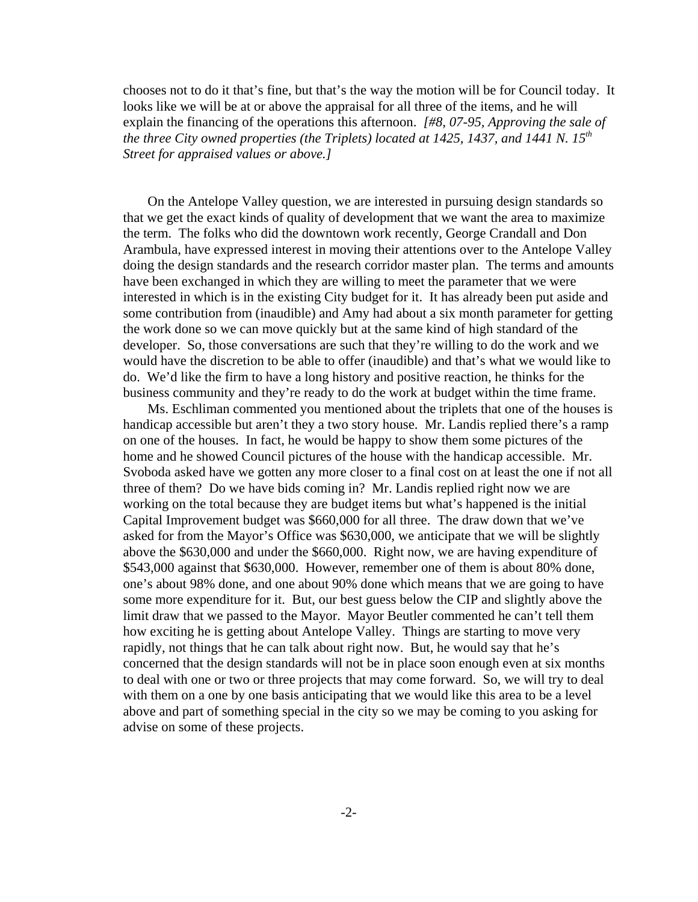chooses not to do it that's fine, but that's the way the motion will be for Council today. It looks like we will be at or above the appraisal for all three of the items, and he will explain the financing of the operations this afternoon. *[#8, 07-95, Approving the sale of the three City owned properties (the Triplets) located at 1425, 1437, and 1441 N. 15th Street for appraised values or above.]* 

On the Antelope Valley question, we are interested in pursuing design standards so that we get the exact kinds of quality of development that we want the area to maximize the term. The folks who did the downtown work recently, George Crandall and Don Arambula, have expressed interest in moving their attentions over to the Antelope Valley doing the design standards and the research corridor master plan. The terms and amounts have been exchanged in which they are willing to meet the parameter that we were interested in which is in the existing City budget for it. It has already been put aside and some contribution from (inaudible) and Amy had about a six month parameter for getting the work done so we can move quickly but at the same kind of high standard of the developer. So, those conversations are such that they're willing to do the work and we would have the discretion to be able to offer (inaudible) and that's what we would like to do. We'd like the firm to have a long history and positive reaction, he thinks for the business community and they're ready to do the work at budget within the time frame.

Ms. Eschliman commented you mentioned about the triplets that one of the houses is handicap accessible but aren't they a two story house. Mr. Landis replied there's a ramp on one of the houses. In fact, he would be happy to show them some pictures of the home and he showed Council pictures of the house with the handicap accessible. Mr. Svoboda asked have we gotten any more closer to a final cost on at least the one if not all three of them? Do we have bids coming in? Mr. Landis replied right now we are working on the total because they are budget items but what's happened is the initial Capital Improvement budget was \$660,000 for all three. The draw down that we've asked for from the Mayor's Office was \$630,000, we anticipate that we will be slightly above the \$630,000 and under the \$660,000. Right now, we are having expenditure of \$543,000 against that \$630,000. However, remember one of them is about 80% done, one's about 98% done, and one about 90% done which means that we are going to have some more expenditure for it. But, our best guess below the CIP and slightly above the limit draw that we passed to the Mayor. Mayor Beutler commented he can't tell them how exciting he is getting about Antelope Valley. Things are starting to move very rapidly, not things that he can talk about right now. But, he would say that he's concerned that the design standards will not be in place soon enough even at six months to deal with one or two or three projects that may come forward. So, we will try to deal with them on a one by one basis anticipating that we would like this area to be a level above and part of something special in the city so we may be coming to you asking for advise on some of these projects.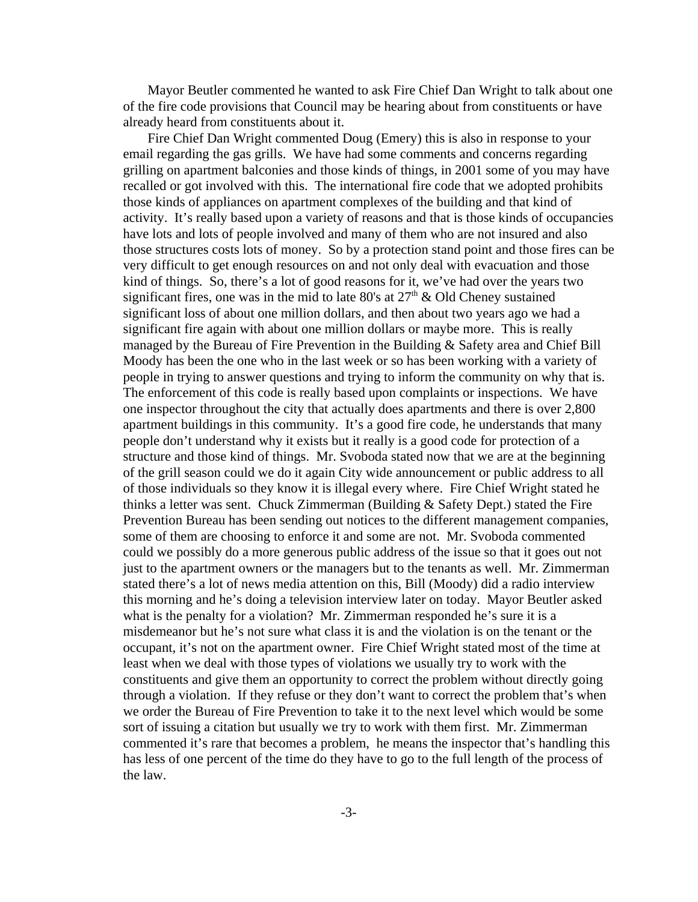Mayor Beutler commented he wanted to ask Fire Chief Dan Wright to talk about one of the fire code provisions that Council may be hearing about from constituents or have already heard from constituents about it.

Fire Chief Dan Wright commented Doug (Emery) this is also in response to your email regarding the gas grills. We have had some comments and concerns regarding grilling on apartment balconies and those kinds of things, in 2001 some of you may have recalled or got involved with this. The international fire code that we adopted prohibits those kinds of appliances on apartment complexes of the building and that kind of activity. It's really based upon a variety of reasons and that is those kinds of occupancies have lots and lots of people involved and many of them who are not insured and also those structures costs lots of money. So by a protection stand point and those fires can be very difficult to get enough resources on and not only deal with evacuation and those kind of things. So, there's a lot of good reasons for it, we've had over the years two significant fires, one was in the mid to late 80's at  $27<sup>th</sup>$  & Old Cheney sustained significant loss of about one million dollars, and then about two years ago we had a significant fire again with about one million dollars or maybe more. This is really managed by the Bureau of Fire Prevention in the Building & Safety area and Chief Bill Moody has been the one who in the last week or so has been working with a variety of people in trying to answer questions and trying to inform the community on why that is. The enforcement of this code is really based upon complaints or inspections. We have one inspector throughout the city that actually does apartments and there is over 2,800 apartment buildings in this community. It's a good fire code, he understands that many people don't understand why it exists but it really is a good code for protection of a structure and those kind of things. Mr. Svoboda stated now that we are at the beginning of the grill season could we do it again City wide announcement or public address to all of those individuals so they know it is illegal every where. Fire Chief Wright stated he thinks a letter was sent. Chuck Zimmerman (Building & Safety Dept.) stated the Fire Prevention Bureau has been sending out notices to the different management companies, some of them are choosing to enforce it and some are not. Mr. Svoboda commented could we possibly do a more generous public address of the issue so that it goes out not just to the apartment owners or the managers but to the tenants as well. Mr. Zimmerman stated there's a lot of news media attention on this, Bill (Moody) did a radio interview this morning and he's doing a television interview later on today. Mayor Beutler asked what is the penalty for a violation? Mr. Zimmerman responded he's sure it is a misdemeanor but he's not sure what class it is and the violation is on the tenant or the occupant, it's not on the apartment owner. Fire Chief Wright stated most of the time at least when we deal with those types of violations we usually try to work with the constituents and give them an opportunity to correct the problem without directly going through a violation. If they refuse or they don't want to correct the problem that's when we order the Bureau of Fire Prevention to take it to the next level which would be some sort of issuing a citation but usually we try to work with them first. Mr. Zimmerman commented it's rare that becomes a problem, he means the inspector that's handling this has less of one percent of the time do they have to go to the full length of the process of the law.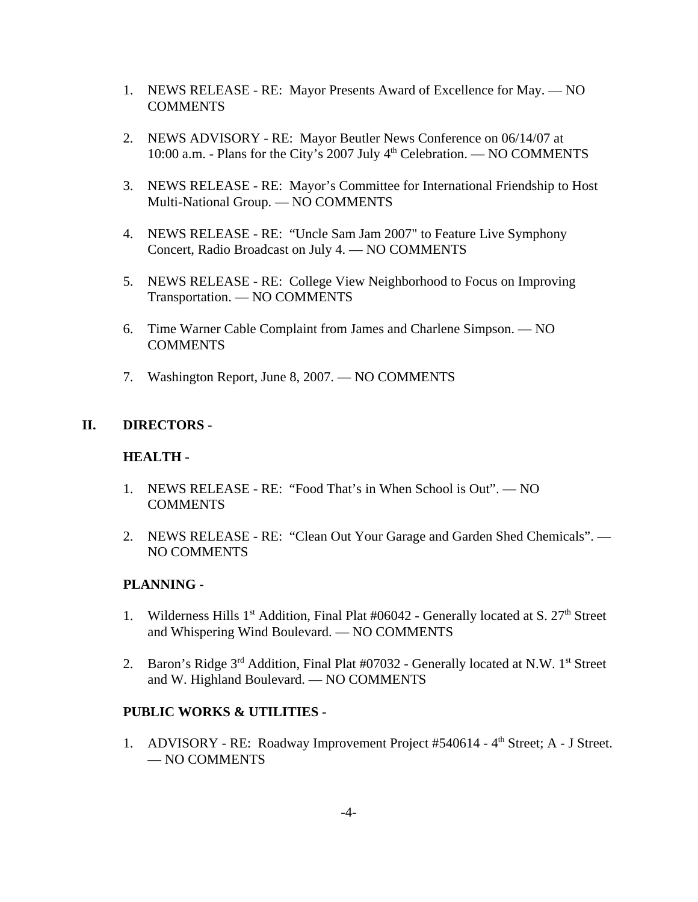- 1. NEWS RELEASE RE: Mayor Presents Award of Excellence for May. NO **COMMENTS**
- 2. NEWS ADVISORY RE: Mayor Beutler News Conference on 06/14/07 at 10:00 a.m. - Plans for the City's 2007 July 4<sup>th</sup> Celebration. — NO COMMENTS
- 3. NEWS RELEASE RE: Mayor's Committee for International Friendship to Host Multi-National Group. — NO COMMENTS
- 4. NEWS RELEASE RE: "Uncle Sam Jam 2007" to Feature Live Symphony Concert, Radio Broadcast on July 4. — NO COMMENTS
- 5. NEWS RELEASE RE: College View Neighborhood to Focus on Improving Transportation. — NO COMMENTS
- 6. Time Warner Cable Complaint from James and Charlene Simpson. NO **COMMENTS**
- 7. Washington Report, June 8, 2007. NO COMMENTS

### **II. DIRECTORS -**

#### **HEALTH -**

- 1. NEWS RELEASE RE: "Food That's in When School is Out". NO **COMMENTS**
- 2. NEWS RELEASE RE: "Clean Out Your Garage and Garden Shed Chemicals". NO COMMENTS

### **PLANNING -**

- 1. Wilderness Hills  $1<sup>st</sup>$  Addition, Final Plat #06042 Generally located at S.  $27<sup>th</sup>$  Street and Whispering Wind Boulevard. — NO COMMENTS
- 2. Baron's Ridge  $3^{rd}$  Addition, Final Plat #07032 Generally located at N.W. 1st Street and W. Highland Boulevard. — NO COMMENTS

#### **PUBLIC WORKS & UTILITIES -**

1. ADVISORY - RE: Roadway Improvement Project #540614 - 4<sup>th</sup> Street; A - J Street. — NO COMMENTS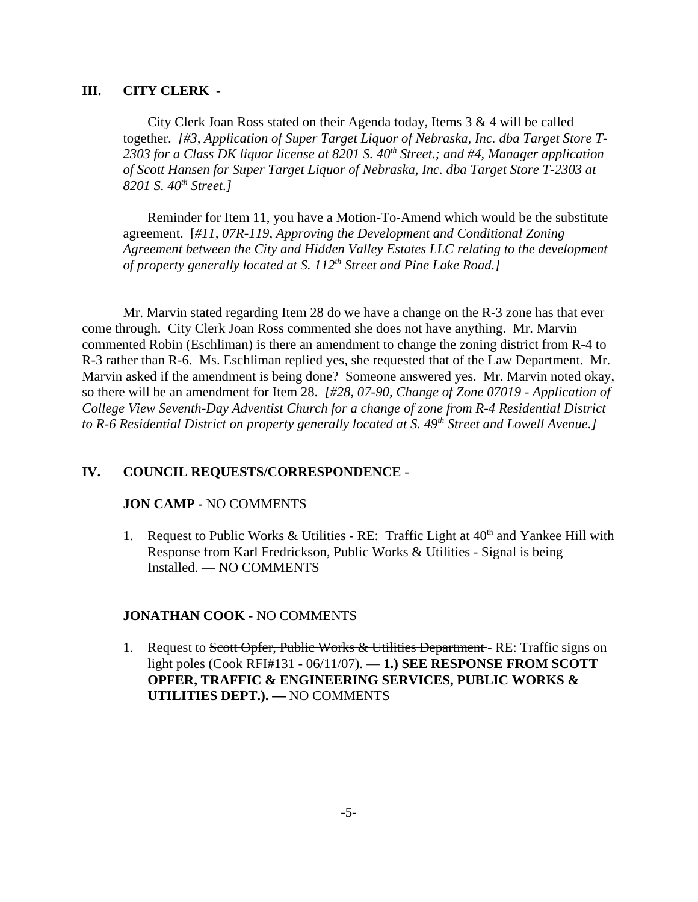### **III. CITY CLERK -**

City Clerk Joan Ross stated on their Agenda today, Items 3 & 4 will be called together. *[#3, Application of Super Target Liquor of Nebraska, Inc. dba Target Store T-*2303 for a Class DK liquor license at 8201 S. 40<sup>th</sup> Street.; and #4, Manager application *of Scott Hansen for Super Target Liquor of Nebraska, Inc. dba Target Store T-2303 at 8201 S. 40th Street.]* 

Reminder for Item 11, you have a Motion-To-Amend which would be the substitute agreement. [*#11, 07R-119, Approving the Development and Conditional Zoning Agreement between the City and Hidden Valley Estates LLC relating to the development of property generally located at S. 112th Street and Pine Lake Road.]* 

Mr. Marvin stated regarding Item 28 do we have a change on the R-3 zone has that ever come through. City Clerk Joan Ross commented she does not have anything. Mr. Marvin commented Robin (Eschliman) is there an amendment to change the zoning district from R-4 to R-3 rather than R-6. Ms. Eschliman replied yes, she requested that of the Law Department. Mr. Marvin asked if the amendment is being done? Someone answered yes. Mr. Marvin noted okay, so there will be an amendment for Item 28. *[#28, 07-90, Change of Zone 07019 - Application of College View Seventh-Day Adventist Church for a change of zone from R-4 Residential District* to R-6 Residential District on property generally located at S. 49<sup>th</sup> Street and Lowell Avenue.]

#### **IV. COUNCIL REQUESTS/CORRESPONDENCE** -

#### **JON CAMP -** NO COMMENTS

1. Request to Public Works & Utilities - RE: Traffic Light at  $40<sup>th</sup>$  and Yankee Hill with Response from Karl Fredrickson, Public Works & Utilities - Signal is being Installed. — NO COMMENTS

#### **JONATHAN COOK -** NO COMMENTS

1. Request to Scott Opfer, Public Works & Utilities Department - RE: Traffic signs on light poles (Cook RFI#131 - 06/11/07). — **1.) SEE RESPONSE FROM SCOTT OPFER, TRAFFIC & ENGINEERING SERVICES, PUBLIC WORKS & UTILITIES DEPT.). —** NO COMMENTS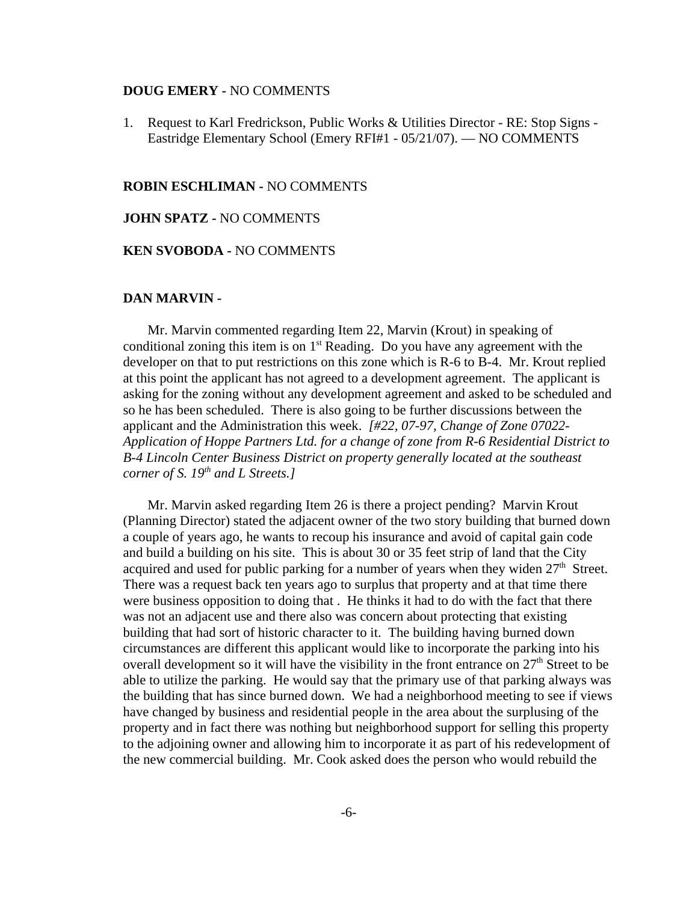#### **DOUG EMERY -** NO COMMENTS

1. Request to Karl Fredrickson, Public Works & Utilities Director - RE: Stop Signs - Eastridge Elementary School (Emery RFI#1 - 05/21/07). — NO COMMENTS

#### **ROBIN ESCHLIMAN -** NO COMMENTS

#### **JOHN SPATZ -** NO COMMENTS

#### **KEN SVOBODA -** NO COMMENTS

#### **DAN MARVIN -**

Mr. Marvin commented regarding Item 22, Marvin (Krout) in speaking of conditional zoning this item is on  $1<sup>st</sup>$  Reading. Do you have any agreement with the developer on that to put restrictions on this zone which is R-6 to B-4. Mr. Krout replied at this point the applicant has not agreed to a development agreement. The applicant is asking for the zoning without any development agreement and asked to be scheduled and so he has been scheduled. There is also going to be further discussions between the applicant and the Administration this week. *[#22, 07-97, Change of Zone 07022- Application of Hoppe Partners Ltd. for a change of zone from R-6 Residential District to B-4 Lincoln Center Business District on property generally located at the southeast corner of S. 19th and L Streets.]* 

Mr. Marvin asked regarding Item 26 is there a project pending? Marvin Krout (Planning Director) stated the adjacent owner of the two story building that burned down a couple of years ago, he wants to recoup his insurance and avoid of capital gain code and build a building on his site. This is about 30 or 35 feet strip of land that the City acquired and used for public parking for a number of years when they widen  $27<sup>th</sup>$  Street. There was a request back ten years ago to surplus that property and at that time there were business opposition to doing that . He thinks it had to do with the fact that there was not an adjacent use and there also was concern about protecting that existing building that had sort of historic character to it. The building having burned down circumstances are different this applicant would like to incorporate the parking into his overall development so it will have the visibility in the front entrance on  $27<sup>th</sup>$  Street to be able to utilize the parking. He would say that the primary use of that parking always was the building that has since burned down. We had a neighborhood meeting to see if views have changed by business and residential people in the area about the surplusing of the property and in fact there was nothing but neighborhood support for selling this property to the adjoining owner and allowing him to incorporate it as part of his redevelopment of the new commercial building. Mr. Cook asked does the person who would rebuild the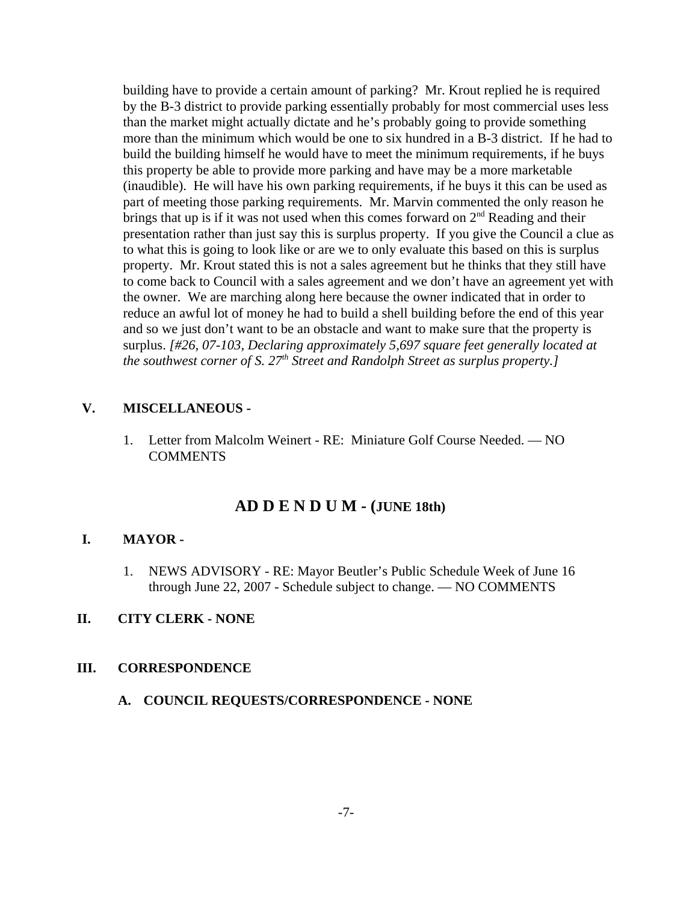building have to provide a certain amount of parking? Mr. Krout replied he is required by the B-3 district to provide parking essentially probably for most commercial uses less than the market might actually dictate and he's probably going to provide something more than the minimum which would be one to six hundred in a B-3 district. If he had to build the building himself he would have to meet the minimum requirements, if he buys this property be able to provide more parking and have may be a more marketable (inaudible). He will have his own parking requirements, if he buys it this can be used as part of meeting those parking requirements. Mr. Marvin commented the only reason he brings that up is if it was not used when this comes forward on  $2<sup>nd</sup>$  Reading and their presentation rather than just say this is surplus property. If you give the Council a clue as to what this is going to look like or are we to only evaluate this based on this is surplus property. Mr. Krout stated this is not a sales agreement but he thinks that they still have to come back to Council with a sales agreement and we don't have an agreement yet with the owner. We are marching along here because the owner indicated that in order to reduce an awful lot of money he had to build a shell building before the end of this year and so we just don't want to be an obstacle and want to make sure that the property is surplus. *[#26, 07-103, Declaring approximately 5,697 square feet generally located at the southwest corner of S. 27<sup>th</sup> Street and Randolph Street as surplus property.]* 

#### **V. MISCELLANEOUS -**

1. Letter from Malcolm Weinert - RE: Miniature Golf Course Needed. — NO **COMMENTS** 

### **AD D E N D U M - (JUNE 18th)**

#### **I. MAYOR -**

1. NEWS ADVISORY - RE: Mayor Beutler's Public Schedule Week of June 16 through June 22, 2007 - Schedule subject to change. — NO COMMENTS

#### **II. CITY CLERK - NONE**

#### **III. CORRESPONDENCE**

**A. COUNCIL REQUESTS/CORRESPONDENCE - NONE**